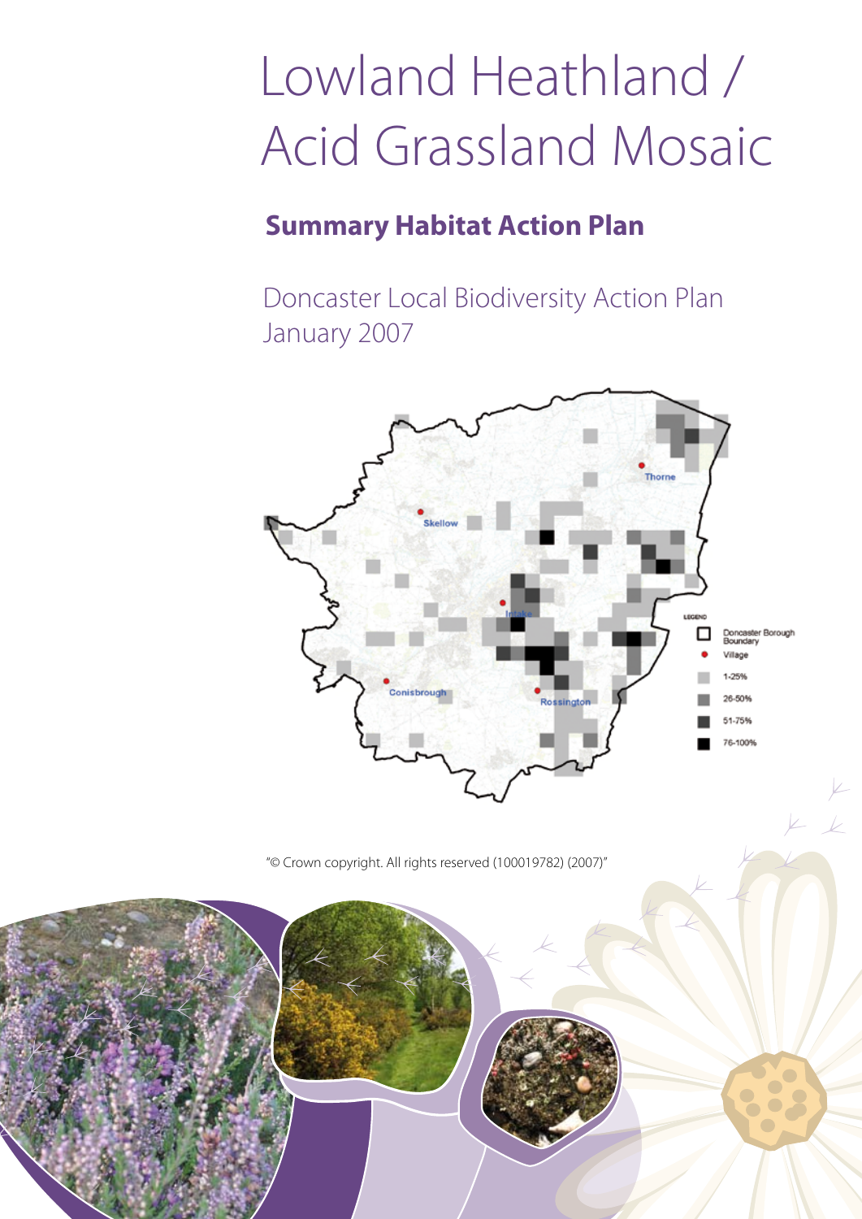# Lowland Heathland / Acid Grassland Mosaic

# **Summary Habitat Action Plan**

Doncaster Local Biodiversity Action Plan January 2007



"© Crown copyright. All rights reserved (100019782) (2007)"

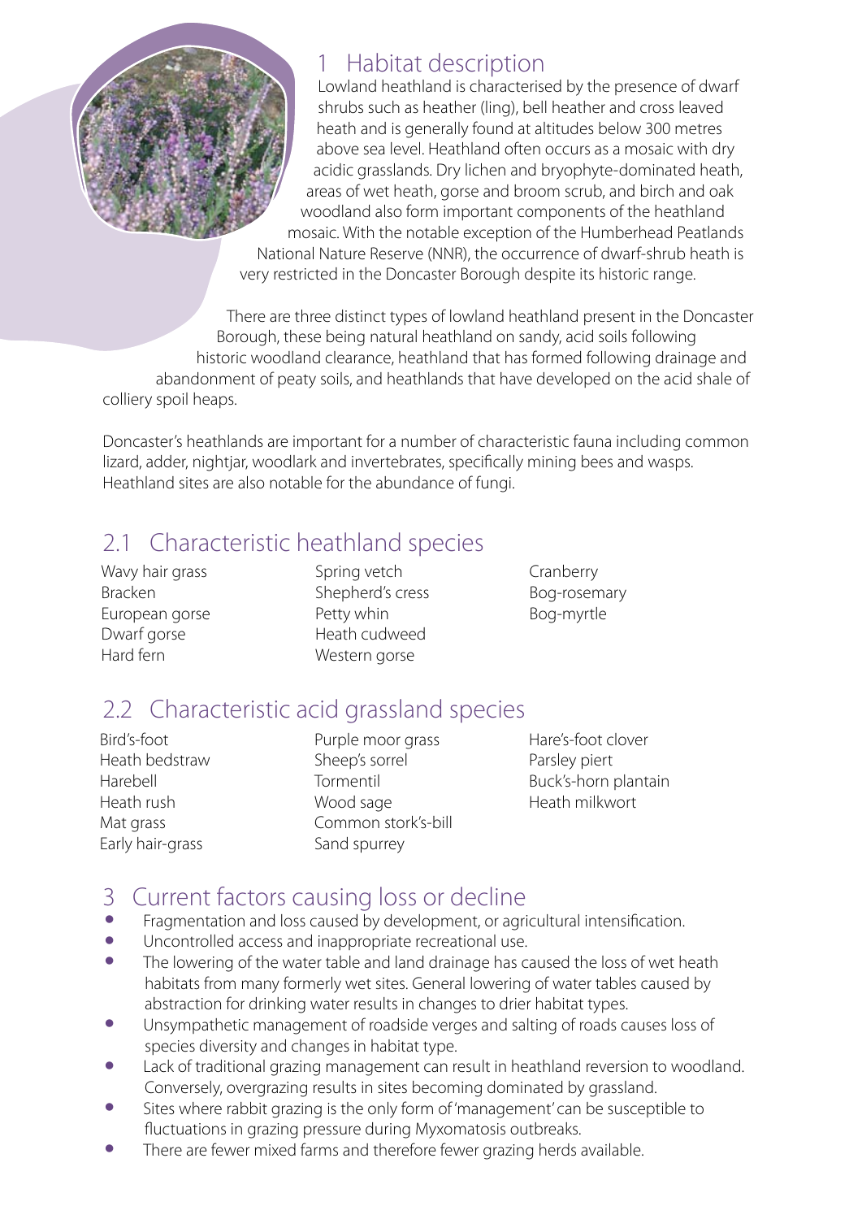

#### 1 Habitat description

Lowland heathland is characterised by the presence of dwarf shrubs such as heather (ling), bell heather and cross leaved heath and is generally found at altitudes below 300 metres above sea level. Heathland often occurs as a mosaic with dry acidic grasslands. Dry lichen and bryophyte-dominated heath, areas of wet heath, gorse and broom scrub, and birch and oak woodland also form important components of the heathland mosaic. With the notable exception of the Humberhead Peatlands National Nature Reserve (NNR), the occurrence of dwarf-shrub heath is very restricted in the Doncaster Borough despite its historic range.

There are three distinct types of lowland heathland present in the Doncaster Borough, these being natural heathland on sandy, acid soils following historic woodland clearance, heathland that has formed following drainage and abandonment of peaty soils, and heathlands that have developed on the acid shale of colliery spoil heaps.

Doncaster's heathlands are important for a number of characteristic fauna including common lizard, adder, nightjar, woodlark and invertebrates, specifically mining bees and wasps. Heathland sites are also notable for the abundance of fungi.

### 2.1 Characteristic heathland species

Wavy hair grass Bracken European gorse Dwarf gorse Hard fern

Spring vetch Shepherd's cress Petty whin Heath cudweed Western gorse

Cranberry Bog-rosemary Bog-myrtle

## 2.2 Characteristic acid grassland species

Bird's-foot Heath bedstraw Harebell Heath rush Mat grass Early hair-grass

Purple moor grass Sheep's sorrel Tormentil Wood sage Common stork's-bill Sand spurrey

Hare's-foot clover Parsley piert Buck's-horn plantain Heath milkwort

#### 3 Current factors causing loss or decline

- Fragmentation and loss caused by development, or agricultural intensification.
- Uncontrolled access and inappropriate recreational use.<br>• The lowering of the water table and land drainage has c
- The lowering of the water table and land drainage has caused the loss of wet heath habitats from many formerly wet sites. General lowering of water tables caused by abstraction for drinking water results in changes to drier habitat types.
- Unsympathetic management of roadside verges and salting of roads causes loss of species diversity and changes in habitat type.
- Lack of traditional grazing management can result in heathland reversion to woodland. Conversely, overgrazing results in sites becoming dominated by grassland.
- Sites where rabbit grazing is the only form of 'management' can be susceptible to fluctuations in grazing pressure during Myxomatosis outbreaks.
- There are fewer mixed farms and therefore fewer grazing herds available.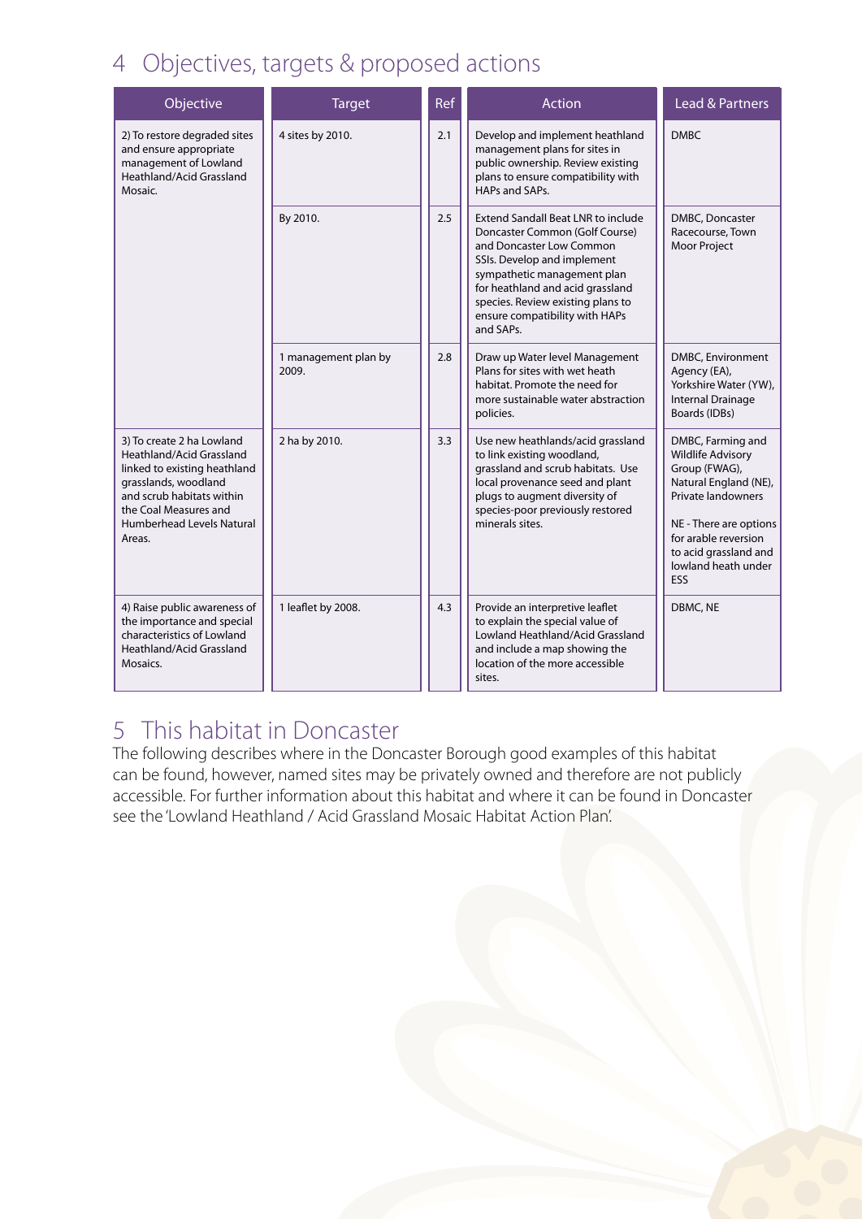#### 4 Objectives, targets & proposed actions

| Objective                                                                                                                                                                                                  | <b>Target</b>                 | <b>Ref</b> | <b>Action</b>                                                                                                                                                                                                                                                                                 | Lead & Partners                                                                                                                                                                                                        |
|------------------------------------------------------------------------------------------------------------------------------------------------------------------------------------------------------------|-------------------------------|------------|-----------------------------------------------------------------------------------------------------------------------------------------------------------------------------------------------------------------------------------------------------------------------------------------------|------------------------------------------------------------------------------------------------------------------------------------------------------------------------------------------------------------------------|
| 2) To restore degraded sites<br>and ensure appropriate<br>management of Lowland<br>Heathland/Acid Grassland<br>Mosaic.                                                                                     | 4 sites by 2010.              | 2.1        | Develop and implement heathland<br>management plans for sites in<br>public ownership. Review existing<br>plans to ensure compatibility with<br>HAPs and SAPs.                                                                                                                                 | <b>DMBC</b>                                                                                                                                                                                                            |
|                                                                                                                                                                                                            | By 2010.                      | 2.5        | <b>Extend Sandall Beat LNR to include</b><br>Doncaster Common (Golf Course)<br>and Doncaster Low Common<br>SSIs. Develop and implement<br>sympathetic management plan<br>for heathland and acid grassland<br>species. Review existing plans to<br>ensure compatibility with HAPs<br>and SAPs. | DMBC, Doncaster<br>Racecourse, Town<br><b>Moor Project</b>                                                                                                                                                             |
|                                                                                                                                                                                                            | 1 management plan by<br>2009. | 2.8        | Draw up Water level Management<br>Plans for sites with wet heath<br>habitat. Promote the need for<br>more sustainable water abstraction<br>policies.                                                                                                                                          | DMBC, Environment<br>Agency (EA),<br>Yorkshire Water (YW),<br><b>Internal Drainage</b><br>Boards (IDBs)                                                                                                                |
| 3) To create 2 ha Lowland<br>Heathland/Acid Grassland<br>linked to existing heathland<br>grasslands, woodland<br>and scrub habitats within<br>the Coal Measures and<br>Humberhead Levels Natural<br>Areas. | 2 ha by 2010.                 | 3.3        | Use new heathlands/acid grassland<br>to link existing woodland,<br>grassland and scrub habitats. Use<br>local provenance seed and plant<br>plugs to augment diversity of<br>species-poor previously restored<br>minerals sites.                                                               | DMBC, Farming and<br><b>Wildlife Advisory</b><br>Group (FWAG),<br>Natural England (NE),<br>Private landowners<br>NE - There are options<br>for arable reversion<br>to acid grassland and<br>lowland heath under<br>ESS |
| 4) Raise public awareness of<br>the importance and special<br>characteristics of Lowland<br>Heathland/Acid Grassland<br>Mosaics.                                                                           | 1 leaflet by 2008.            | 4.3        | Provide an interpretive leaflet<br>to explain the special value of<br>Lowland Heathland/Acid Grassland<br>and include a map showing the<br>location of the more accessible<br>sites.                                                                                                          | DBMC, NE                                                                                                                                                                                                               |

#### 5 This habitat in Doncaster

The following describes where in the Doncaster Borough good examples of this habitat can be found, however, named sites may be privately owned and therefore are not publicly accessible. For further information about this habitat and where it can be found in Doncaster see the 'Lowland Heathland / Acid Grassland Mosaic Habitat Action Plan'.